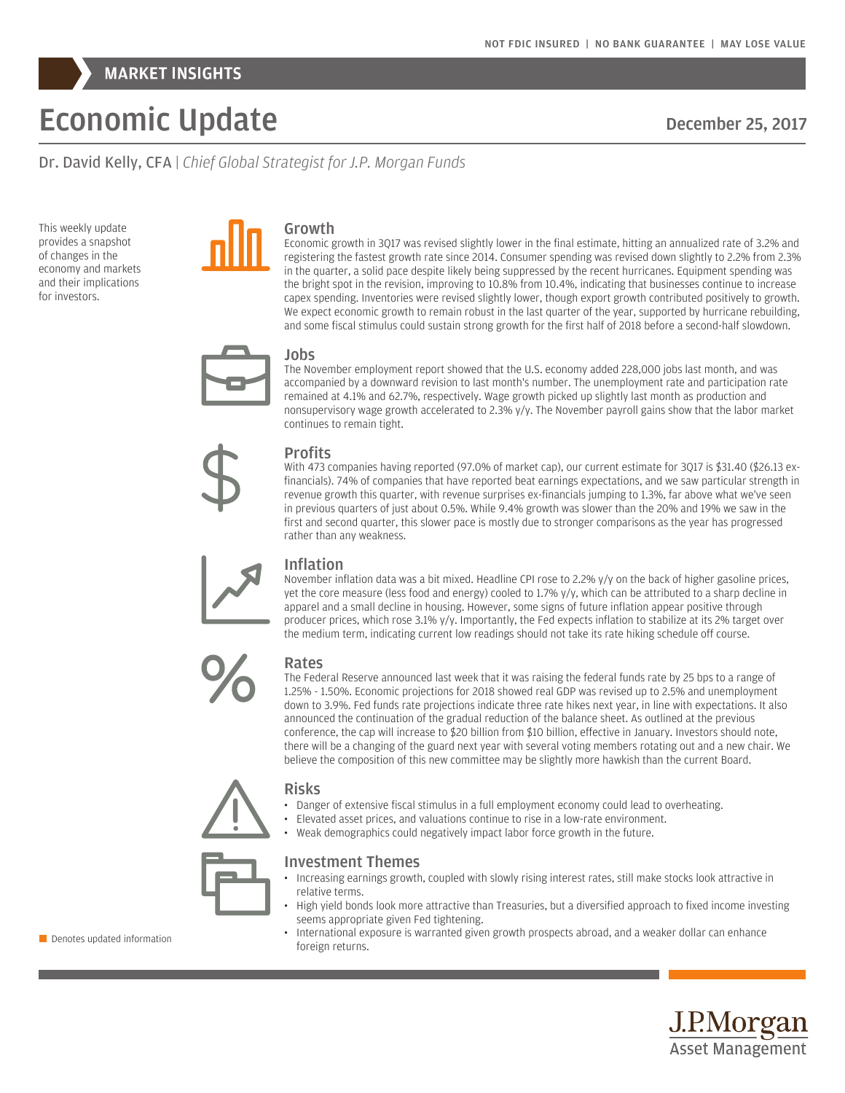

# Economic Update

December 25, 2017

Dr. David Kelly, CFA | *Chief Global Strategist for J.P. Morgan Funds*

This weekly update provides a snapshot of changes in the economy and markets and their implications for investors.



## Growth

Economic growth in 3Q17 was revised slightly lower in the final estimate, hitting an annualized rate of 3.2% and registering the fastest growth rate since 2014. Consumer spending was revised down slightly to 2.2% from 2.3% in the quarter, a solid pace despite likely being suppressed by the recent hurricanes. Equipment spending was the bright spot in the revision, improving to 10.8% from 10.4%, indicating that businesses continue to increase capex spending. Inventories were revised slightly lower, though export growth contributed positively to growth. We expect economic growth to remain robust in the last quarter of the year, supported by hurricane rebuilding, and some fiscal stimulus could sustain strong growth for the first half of 2018 before a second-half slowdown.



#### Jobs

The November employment report showed that the U.S. economy added 228,000 jobs last month, and was accompanied by a downward revision to last month's number. The unemployment rate and participation rate remained at 4.1% and 62.7%, respectively. Wage growth picked up slightly last month as production and nonsupervisory wage growth accelerated to 2.3% y/y. The November payroll gains show that the labor market continues to remain tight.



## **Profits**

With 473 companies having reported (97.0% of market cap), our current estimate for 3Q17 is \$31.40 (\$26.13 exfinancials). 74% of companies that have reported beat earnings expectations, and we saw particular strength in revenue growth this quarter, with revenue surprises ex-financials jumping to 1.3%, far above what we've seen in previous quarters of just about 0.5%. While 9.4% growth was slower than the 20% and 19% we saw in the first and second quarter, this slower pace is mostly due to stronger comparisons as the year has progressed rather than any weakness.



## Inflation

November inflation data was a bit mixed. Headline CPI rose to 2.2% y/y on the back of higher gasoline prices, yet the core measure (less food and energy) cooled to 1.7% y/y, which can be attributed to a sharp decline in apparel and a small decline in housing. However, some signs of future inflation appear positive through producer prices, which rose 3.1% y/y. Importantly, the Fed expects inflation to stabilize at its 2% target over the medium term, indicating current low readings should not take its rate hiking schedule off course.



## Rates

The Federal Reserve announced last week that it was raising the federal funds rate by 25 bps to a range of 1.25% - 1.50%. Economic projections for 2018 showed real GDP was revised up to 2.5% and unemployment down to 3.9%. Fed funds rate projections indicate three rate hikes next year, in line with expectations. It also announced the continuation of the gradual reduction of the balance sheet. As outlined at the previous conference, the cap will increase to \$20 billion from \$10 billion, effective in January. Investors should note, there will be a changing of the guard next year with several voting members rotating out and a new chair. We believe the composition of this new committee may be slightly more hawkish than the current Board.



## Risks

- Danger of extensive fiscal stimulus in a full employment economy could lead to overheating.
- Elevated asset prices, and valuations continue to rise in a low-rate environment.
	- Weak demographics could negatively impact labor force growth in the future.



## Investment Themes

- Increasing earnings growth, coupled with slowly rising interest rates, still make stocks look attractive in relative terms.
- High yield bonds look more attractive than Treasuries, but a diversified approach to fixed income investing seems appropriate given Fed tightening.
- International exposure is warranted given growth prospects abroad, and a weaker dollar can enhance **E** Denotes updated information<br>foreign returns.